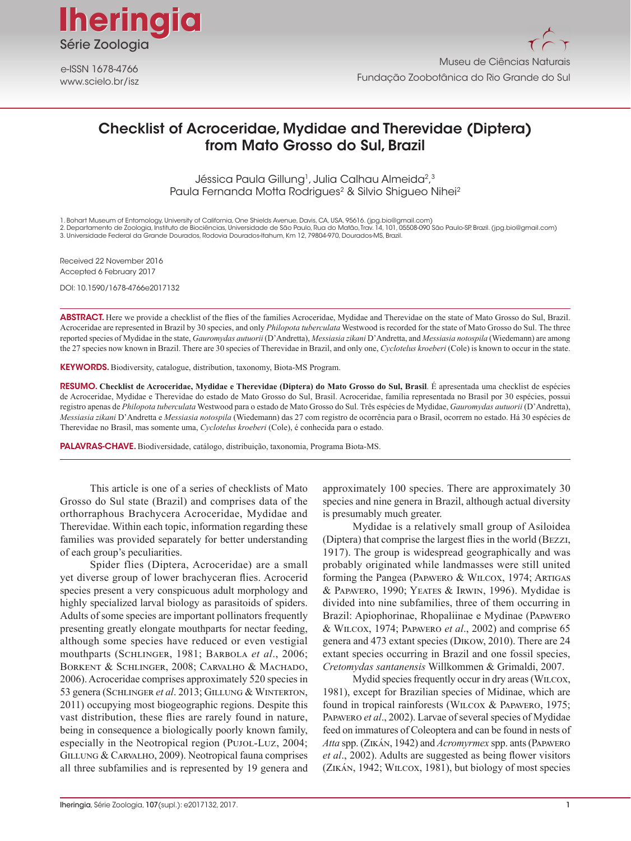

www.scielo.br/isz e-ISSN 1678-4766

# Checklist of Acroceridae, Mydidae and Therevidae (Diptera) from Mato Grosso do Sul, Brazil

Jéssica Paula Gillung<sup>1</sup>, Julia Calhau Almeida<sup>2</sup>,<sup>3</sup> Paula Fernanda Motta Rodrigues<sup>2</sup> & Silvio Shigueo Nihei<sup>2</sup>

1. Bohart Museum of Entomology, University of California, One Shields Avenue, Davis, CA, USA, 95616. (jpg.bio@gmail.com)<br>2. Departamento de Zoologia, Instituto de Biociências, Universidade de São Paulo, Rua do Matão, Trav. 3. Universidade Federal da Grande Dourados, Rodovia Dourados-Itahum, Km 12, 79804-970, Dourados-MS, Brazil.

Received 22 November 2016 Accepted 6 February 2017

DOI: 10.1590/1678-4766e2017132

ABSTRACT. Here we provide a checklist of the flies of the families Acroceridae, Mydidae and Therevidae on the state of Mato Grosso do Sul, Brazil. Acroceridae are represented in Brazil by 30 species, and only *Philopota tuberculata* Westwood is recorded for the state of Mato Grosso do Sul. The three reported species of Mydidae in the state, *Gauromydas autuorii* (D'Andretta), *Messiasia zikani* D'Andretta, and *Messiasia notospila* (Wiedemann) are among the 27 species now known in Brazil. There are 30 species of Therevidae in Brazil, and only one, *Cyclotelus kroeberi* (Cole) is known to occur in the state.

KEYWORDS. Biodiversity, catalogue, distribution, taxonomy, Biota-MS Program.

RESUMO. **Checklist de Acroceridae, Mydidae e Therevidae (Diptera) do Mato Grosso do Sul, Brasil**. É apresentada uma checklist de espécies de Acroceridae, Mydidae e Therevidae do estado de Mato Grosso do Sul, Brasil. Acroceridae, família representada no Brasil por 30 espécies, possui registro apenas de *Philopota tuberculata* Westwood para o estado de Mato Grosso do Sul. Três espécies de Mydidae, *Gauromydas autuorii* (D'Andretta), *Messiasia zikani* D'Andretta e *Messiasia notospila* (Wiedemann) das 27 com registro de ocorrência para o Brasil, ocorrem no estado. Há 30 espécies de Therevidae no Brasil, mas somente uma, *Cyclotelus kroeberi* (Cole), é conhecida para o estado.

PALAVRAS-CHAVE. Biodiversidade, catálogo, distribuição, taxonomia, Programa Biota-MS.

This article is one of a series of checklists of Mato Grosso do Sul state (Brazil) and comprises data of the orthorraphous Brachycera Acroceridae, Mydidae and Therevidae. Within each topic, information regarding these families was provided separately for better understanding of each group's peculiarities.

Spider flies (Diptera, Acroceridae) are a small yet diverse group of lower brachyceran flies. Acrocerid species present a very conspicuous adult morphology and highly specialized larval biology as parasitoids of spiders. Adults of some species are important pollinators frequently presenting greatly elongate mouthparts for nectar feeding, although some species have reduced or even vestigial mouthparts (Schlinger, 1981; Barbola *et al*., 2006; Borkent & Schlinger, 2008; Carvalho & Machado, 2006). Acroceridae comprises approximately 520 species in 53 genera (Schlinger *et al*. 2013; Gillung & Winterton, 2011) occupying most biogeographic regions. Despite this vast distribution, these flies are rarely found in nature, being in consequence a biologically poorly known family, especially in the Neotropical region (Pujol-Luz, 2004; GILLUNG & CARVALHO, 2009). Neotropical fauna comprises all three subfamilies and is represented by 19 genera and

approximately 100 species. There are approximately 30 species and nine genera in Brazil, although actual diversity is presumably much greater.

Mydidae is a relatively small group of Asiloidea (Diptera) that comprise the largest flies in the world (Bezzi, 1917). The group is widespread geographically and was probably originated while landmasses were still united forming the Pangea (Papavero & Wilcox, 1974; Artigas & Papavero, 1990; Yeates & Irwin, 1996). Mydidae is divided into nine subfamilies, three of them occurring in Brazil: Apiophorinae, Rhopaliinae e Mydinae (Papavero & Wilcox, 1974; Papavero *et al*., 2002) and comprise 65 genera and 473 extant species (Dikow, 2010). There are 24 extant species occurring in Brazil and one fossil species, *Cretomydas santanensis* Willkommen & Grimaldi, 2007.

Mydid species frequently occur in dry areas (Wilcox, 1981), except for Brazilian species of Midinae, which are found in tropical rainforests (Wilcox & Papavero, 1975; PAPAVERO *et al.*, 2002). Larvae of several species of Mydidae feed on immatures of Coleoptera and can be found in nests of *Atta* spp. (Zikán, 1942) and *Acromyrmex* spp. ants (Papavero *et al.*, 2002). Adults are suggested as being flower visitors (Zikán, 1942; Wilcox, 1981), but biology of most species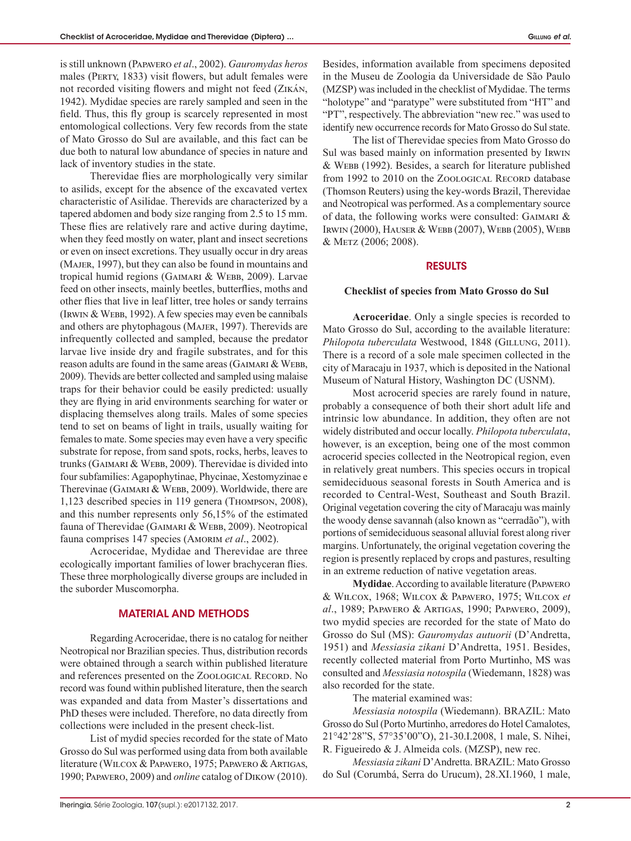is still unknown (Papavero *et al*., 2002). *Gauromydas heros* males (PERTY, 1833) visit flowers, but adult females were not recorded visiting flowers and might not feed (Zikán, 1942). Mydidae species are rarely sampled and seen in the field. Thus, this fly group is scarcely represented in most entomological collections. Very few records from the state of Mato Grosso do Sul are available, and this fact can be due both to natural low abundance of species in nature and lack of inventory studies in the state.

Therevidae flies are morphologically very similar to asilids, except for the absence of the excavated vertex characteristic of Asilidae. Therevids are characterized by a tapered abdomen and body size ranging from 2.5 to 15 mm. These flies are relatively rare and active during daytime, when they feed mostly on water, plant and insect secretions or even on insect excretions. They usually occur in dry areas (MAJER, 1997), but they can also be found in mountains and tropical humid regions (GAIMARI & WEBB, 2009). Larvae feed on other insects, mainly beetles, butterflies, moths and other flies that live in leaf litter, tree holes or sandy terrains (IRWIN & WEBB, 1992). A few species may even be cannibals and others are phytophagous (MAJER, 1997). Therevids are infrequently collected and sampled, because the predator larvae live inside dry and fragile substrates, and for this reason adults are found in the same areas (GAIMARI & WEBB, 2009). Thevids are better collected and sampled using malaise traps for their behavior could be easily predicted: usually they are flying in arid environments searching for water or displacing themselves along trails. Males of some species tend to set on beams of light in trails, usually waiting for females to mate. Some species may even have a very specific substrate for repose, from sand spots, rocks, herbs, leaves to trunks (GAIMARI & WEBB, 2009). Therevidae is divided into four subfamilies: Agapophytinae, Phycinae, Xestomyzinae e Therevinae (GAIMARI & WEBB, 2009). Worldwide, there are 1,123 described species in 119 genera (Thompson, 2008), and this number represents only 56,15% of the estimated fauna of Therevidae (GAIMARI & WEBB, 2009). Neotropical fauna comprises 147 species (Amorim *et al*., 2002).

Acroceridae, Mydidae and Therevidae are three ecologically important families of lower brachyceran flies. These three morphologically diverse groups are included in the suborder Muscomorpha.

# MATERIAL AND METHODS

Regarding Acroceridae, there is no catalog for neither Neotropical nor Brazilian species. Thus, distribution records were obtained through a search within published literature and references presented on the ZOOLOGICAL RECORD. No record was found within published literature, then the search was expanded and data from Master's dissertations and PhD theses were included. Therefore, no data directly from collections were included in the present check-list.

List of mydid species recorded for the state of Mato Grosso do Sul was performed using data from both available literature (Wilcox & Papavero, 1975; Papavero & Artigas, 1990; Papavero, 2009) and *online* catalog of Dikow (2010). Besides, information available from specimens deposited in the Museu de Zoologia da Universidade de São Paulo (MZSP) was included in the checklist of Mydidae. The terms "holotype" and "paratype" were substituted from "HT" and "PT", respectively. The abbreviation "new rec." was used to identify new occurrence records for Mato Grosso do Sul state.

The list of Therevidae species from Mato Grosso do Sul was based mainly on information presented by IRWIN & Webb (1992). Besides, a search for literature published from 1992 to 2010 on the ZOOLOGICAL RECORD database (Thomson Reuters) using the key-words Brazil, Therevidae and Neotropical was performed. As a complementary source of data, the following works were consulted: Gaimari & Irwin (2000), Hauser & Webb (2007), Webb (2005), Webb & Metz (2006; 2008).

#### RESULTS

#### **Checklist of species from Mato Grosso do Sul**

**Acroceridae**. Only a single species is recorded to Mato Grosso do Sul, according to the available literature: *Philopota tuberculata* Westwood, 1848 (GILLUNG, 2011). There is a record of a sole male specimen collected in the city of Maracaju in 1937, which is deposited in the National Museum of Natural History, Washington DC (USNM).

Most acrocerid species are rarely found in nature, probably a consequence of both their short adult life and intrinsic low abundance. In addition, they often are not widely distributed and occur locally. *Philopota tuberculata*, however, is an exception, being one of the most common acrocerid species collected in the Neotropical region, even in relatively great numbers. This species occurs in tropical semideciduous seasonal forests in South America and is recorded to Central-West, Southeast and South Brazil. Original vegetation covering the city of Maracaju was mainly the woody dense savannah (also known as "cerradão"), with portions of semideciduous seasonal alluvial forest along river margins. Unfortunately, the original vegetation covering the region is presently replaced by crops and pastures, resulting in an extreme reduction of native vegetation areas.

**Mydidae**. According to available literature (Papavero & Wilcox, 1968; Wilcox & Papavero, 1975; Wilcox *et al*., 1989; Papavero & Artigas, 1990; Papavero, 2009), two mydid species are recorded for the state of Mato do Grosso do Sul (MS): *Gauromydas autuorii* (D'Andretta, 1951) and *Messiasia zikani* D'Andretta, 1951. Besides, recently collected material from Porto Murtinho, MS was consulted and *Messiasia notospila* (Wiedemann, 1828) was also recorded for the state.

The material examined was:

*Messiasia notospila* (Wiedemann). BRAZIL: Mato Grosso do Sul (Porto Murtinho, arredores do Hotel Camalotes, 21°42'28"S, 57°35'00"O), 21-30.I.2008, 1 male, S. Nihei, R. Figueiredo & J. Almeida cols. (MZSP), new rec.

*Messiasia zikani* D'Andretta. BRAZIL: Mato Grosso do Sul (Corumbá, Serra do Urucum), 28.XI.1960, 1 male,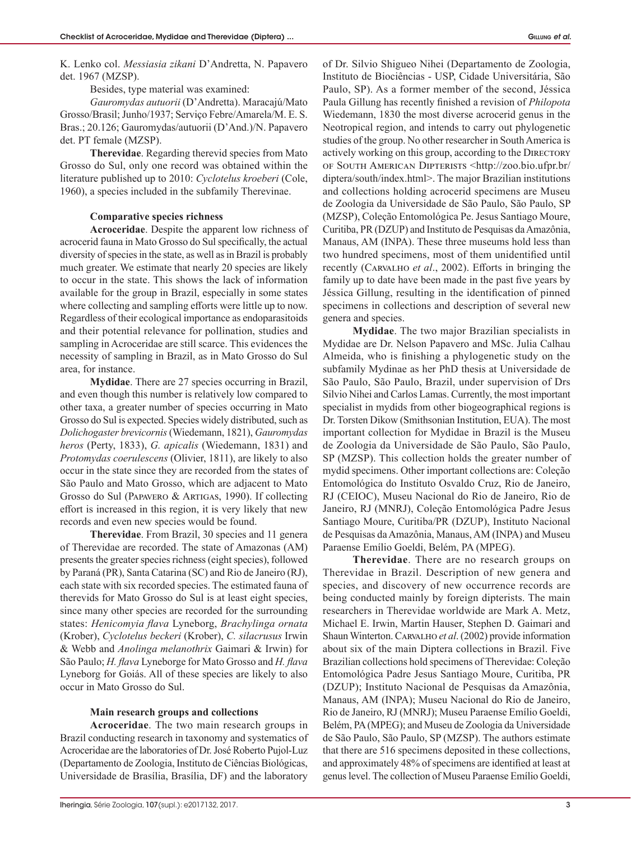K. Lenko col. *Messiasia zikani* D'Andretta, N. Papavero det. 1967 (MZSP).

Besides, type material was examined:

*Gauromydas autuorii* (D'Andretta). Maracajú/Mato Grosso/Brasil; Junho/1937; Serviço Febre/Amarela/M. E. S. Bras.; 20.126; Gauromydas/autuorii (D'And.)/N. Papavero det. PT female (MZSP).

**Therevidae**. Regarding therevid species from Mato Grosso do Sul, only one record was obtained within the literature published up to 2010: *Cyclotelus kroeberi* (Cole, 1960), a species included in the subfamily Therevinae.

## **Comparative species richness**

**Acroceridae**. Despite the apparent low richness of acrocerid fauna in Mato Grosso do Sul specifically, the actual diversity of species in the state, as well as in Brazil is probably much greater. We estimate that nearly 20 species are likely to occur in the state. This shows the lack of information available for the group in Brazil, especially in some states where collecting and sampling efforts were little up to now. Regardless of their ecological importance as endoparasitoids and their potential relevance for pollination, studies and sampling in Acroceridae are still scarce. This evidences the necessity of sampling in Brazil, as in Mato Grosso do Sul area, for instance.

**Mydidae**. There are 27 species occurring in Brazil, and even though this number is relatively low compared to other taxa, a greater number of species occurring in Mato Grosso do Sul is expected. Species widely distributed, such as *Dolichogaster brevicornis* (Wiedemann, 1821), *Gauromydas heros* (Perty, 1833), *G. apicalis* (Wiedemann, 1831) and *Protomydas coerulescens* (Olivier, 1811), are likely to also occur in the state since they are recorded from the states of São Paulo and Mato Grosso, which are adjacent to Mato Grosso do Sul (Papavero & Artigas, 1990). If collecting effort is increased in this region, it is very likely that new records and even new species would be found.

**Therevidae**. From Brazil, 30 species and 11 genera of Therevidae are recorded. The state of Amazonas (AM) presents the greater species richness (eight species), followed by Paraná (PR), Santa Catarina (SC) and Rio de Janeiro (RJ), each state with six recorded species. The estimated fauna of therevids for Mato Grosso do Sul is at least eight species, since many other species are recorded for the surrounding states: *Henicomyia flava* Lyneborg, *Brachylinga ornata* (Krober), *Cyclotelus beckeri* (Krober), *C. silacrusus* Irwin & Webb and *Anolinga melanothrix* Gaimari & Irwin) for São Paulo; *H. flava* Lyneborge for Mato Grosso and *H. flava* Lyneborg for Goiás. All of these species are likely to also occur in Mato Grosso do Sul.

### **Main research groups and collections**

**Acroceridae**. The two main research groups in Brazil conducting research in taxonomy and systematics of Acroceridae are the laboratories of Dr. José Roberto Pujol-Luz (Departamento de Zoologia, Instituto de Ciências Biológicas, Universidade de Brasília, Brasília, DF) and the laboratory

of Dr. Silvio Shigueo Nihei (Departamento de Zoologia, Instituto de Biociências - USP, Cidade Universitária, São Paulo, SP). As a former member of the second, Jéssica Paula Gillung has recently finished a revision of *Philopota* Wiedemann, 1830 the most diverse acrocerid genus in the Neotropical region, and intends to carry out phylogenetic studies of the group. No other researcher in South America is actively working on this group, according to the DIRECTORY of South American Dipterists <http://zoo.bio.ufpr.br/ diptera/south/index.html>. The major Brazilian institutions and collections holding acrocerid specimens are Museu de Zoologia da Universidade de São Paulo, São Paulo, SP (MZSP), Coleção Entomológica Pe. Jesus Santiago Moure, Curitiba, PR (DZUP) and Instituto de Pesquisas da Amazônia, Manaus, AM (INPA). These three museums hold less than two hundred specimens, most of them unidentified until recently (Carvalho *et al*., 2002). Efforts in bringing the family up to date have been made in the past five years by Jéssica Gillung, resulting in the identification of pinned specimens in collections and description of several new genera and species.

**Mydidae**. The two major Brazilian specialists in Mydidae are Dr. Nelson Papavero and MSc. Julia Calhau Almeida, who is finishing a phylogenetic study on the subfamily Mydinae as her PhD thesis at Universidade de São Paulo, São Paulo, Brazil, under supervision of Drs Silvio Nihei and Carlos Lamas. Currently, the most important specialist in mydids from other biogeographical regions is Dr. Torsten Dikow (Smithsonian Institution, EUA). The most important collection for Mydidae in Brazil is the Museu de Zoologia da Universidade de São Paulo, São Paulo, SP (MZSP). This collection holds the greater number of mydid specimens. Other important collections are: Coleção Entomológica do Instituto Osvaldo Cruz, Rio de Janeiro, RJ (CEIOC), Museu Nacional do Rio de Janeiro, Rio de Janeiro, RJ (MNRJ), Coleção Entomológica Padre Jesus Santiago Moure, Curitiba/PR (DZUP), Instituto Nacional de Pesquisas da Amazônia, Manaus, AM (INPA) and Museu Paraense Emílio Goeldi, Belém, PA (MPEG).

**Therevidae**. There are no research groups on Therevidae in Brazil. Description of new genera and species, and discovery of new occurrence records are being conducted mainly by foreign dipterists. The main researchers in Therevidae worldwide are Mark A. Metz, Michael E. Irwin, Martin Hauser, Stephen D. Gaimari and Shaun Winterton. Carvalho *et al*. (2002) provide information about six of the main Diptera collections in Brazil. Five Brazilian collections hold specimens of Therevidae: Coleção Entomológica Padre Jesus Santiago Moure, Curitiba, PR (DZUP); Instituto Nacional de Pesquisas da Amazônia, Manaus, AM (INPA); Museu Nacional do Rio de Janeiro, Rio de Janeiro, RJ (MNRJ); Museu Paraense Emílio Goeldi, Belém, PA (MPEG); and Museu de Zoologia da Universidade de São Paulo, São Paulo, SP (MZSP). The authors estimate that there are 516 specimens deposited in these collections, and approximately 48% of specimens are identified at least at genus level. The collection of Museu Paraense Emílio Goeldi,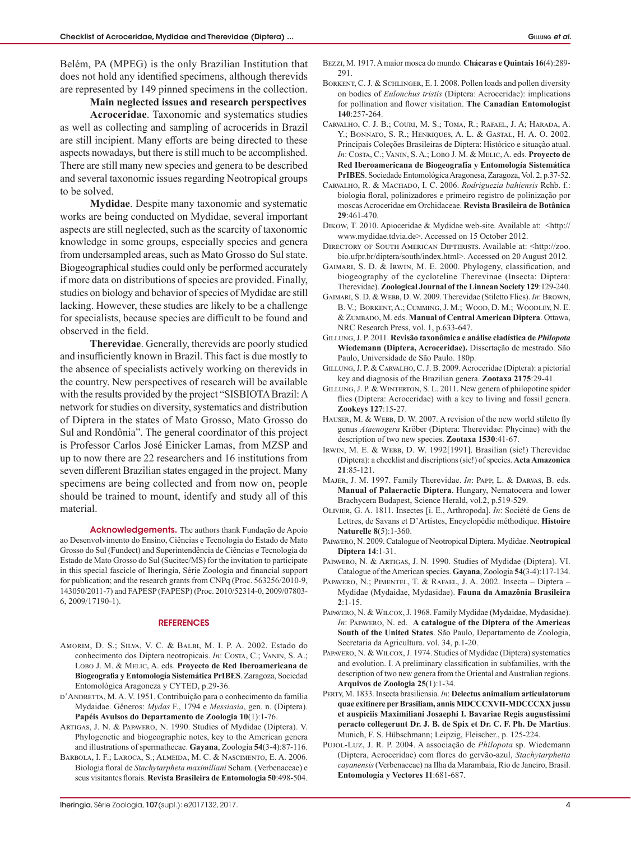Belém, PA (MPEG) is the only Brazilian Institution that does not hold any identified specimens, although therevids are represented by 149 pinned specimens in the collection.

### **Main neglected issues and research perspectives**

**Acroceridae**. Taxonomic and systematics studies as well as collecting and sampling of acrocerids in Brazil are still incipient. Many efforts are being directed to these aspects nowadays, but there is still much to be accomplished. There are still many new species and genera to be described and several taxonomic issues regarding Neotropical groups to be solved.

**Mydidae**. Despite many taxonomic and systematic works are being conducted on Mydidae, several important aspects are still neglected, such as the scarcity of taxonomic knowledge in some groups, especially species and genera from undersampled areas, such as Mato Grosso do Sul state. Biogeographical studies could only be performed accurately if more data on distributions of species are provided. Finally, studies on biology and behavior of species of Mydidae are still lacking. However, these studies are likely to be a challenge for specialists, because species are difficult to be found and observed in the field.

**Therevidae**. Generally, therevids are poorly studied and insufficiently known in Brazil. This fact is due mostly to the absence of specialists actively working on therevids in the country. New perspectives of research will be available with the results provided by the project "SISBIOTA Brazil: A network for studies on diversity, systematics and distribution of Diptera in the states of Mato Grosso, Mato Grosso do Sul and Rondônia". The general coordinator of this project is Professor Carlos José Einicker Lamas, from MZSP and up to now there are 22 researchers and 16 institutions from seven different Brazilian states engaged in the project. Many specimens are being collected and from now on, people should be trained to mount, identify and study all of this material.

Acknowledgements. The authors thank Fundação de Apoio ao Desenvolvimento do Ensino, Ciências e Tecnologia do Estado de Mato Grosso do Sul (Fundect) and Superintendência de Ciências e Tecnologia do Estado de Mato Grosso do Sul (Sucitec/MS) for the invitation to participate in this special fascicle of Iheringia, Série Zoologia and financial support for publication; and the research grants from CNPq (Proc. 563256/2010-9, 143050/2011-7) and FAPESP (FAPESP) (Proc. 2010/52314-0, 2009/07803- 6, 2009/17190-1).

#### **REFERENCES**

- Amorim, D. S.; Silva, V. C. & Balbi, M. I. P. A. 2002. Estado do conhecimento dos Diptera neotropicais. *In*: Costa, C.; Vanin, S. A.; Lobo J. M. & Melic, A. eds. **Proyecto de Red Iberoamericana de Biogeografia y Entomología Sistemática PrIBES**. Zaragoza, Sociedad Entomológica Aragoneza y CYTED, p.29-36.
- d'Andretta, M. A. V. 1951. Contribuição para o conhecimento da família Mydaidae. Gêneros: *Mydas* F., 1794 e *Messiasia*, gen. n. (Diptera). **Papéis Avulsos do Departamento de Zoologia 10**(1):1-76.
- Artigas, J. N. & Papavero, N. 1990. Studies of Mydidae (Diptera). V. Phylogenetic and biogeographic notes, key to the American genera and illustrations of spermathecae. **Gayana**, Zoologia **54**(3-4):87-116.
- Barbola, I. F.; Laroca, S.; Almeida, M. C. & Nascimento, E. A. 2006. Biologia floral de *Stachytarpheta maximiliani* Scham. (Verbenaceae) e seus visitantes florais. **Revista Brasileira de Entomologia 50**:498-504.
- Bezzi, M. 1917. A maior mosca do mundo. **Chácaras e Quintais 16**(4):289- 291.
- BORKENT, C. J. & SCHLINGER, E. I. 2008. Pollen loads and pollen diversity on bodies of *Eulonchus tristis* (Diptera: Acroceridae): implications for pollination and flower visitation. **The Canadian Entomologist 140**:257-264.
- Carvalho, C. J. B.; Couri, M. S.; Toma, R.; Rafael, J. A; Harada, A. Y.; Bonnato, S. R.; Henriques, A. L. & Gastal, H. A. O. 2002. Principais Coleções Brasileiras de Diptera: Histórico e situação atual. *In*: Costa, C.; Vanin, S. A.; Lobo J. M. & Melic, A. eds. **Proyecto de Red Iberoamericana de Biogeografía y Entomología Sistemática PrIBES**. Sociedade Entomológica Aragonesa, Zaragoza, Vol. 2, p.37-52.
- Carvalho, R. & Machado, I. C. 2006. *Rodriguezia bahiensis* Rchb. f.: biologia floral, polinizadores e primeiro registro de polinização por moscas Acroceridae em Orchidaceae. **Revista Brasileira de Botânica 29**:461-470.
- DIKOW, T. 2010. Apioceridae & Mydidae web-site. Available at: <http:// www.mydidae.tdvia.de>. Accessed on 15 October 2012.
- Directory of South American Dipterists. Available at: <http://zoo. bio.ufpr.br/diptera/south/index.html>. Accessed on 20 August 2012.
- Gaimari, S. D. & Irwin, M. E. 2000. Phylogeny, classification, and biogeography of the cycloteline Therevinae (Insecta: Diptera: Therevidae). **Zoological Journal of the Linnean Society 129**:129-240.
- Gaimari, S. D. & Webb, D. W. 2009. Therevidae (Stiletto Flies). *In*: Brown, B. V.; Borkent, A.; Cumming, J. M.; Wood, D. M.; Woodley, N. E. & Zumbado, M. eds. **Manual of Central American Diptera**. Ottawa, NRC Research Press, vol. 1, p.633-647.
- Gillung, J. P. 2011. **Revisão taxonômica e análise cladística de** *Philopota* **Wiedemann (Diptera, Acroceridae).** Dissertação de mestrado. São Paulo, Universidade de São Paulo. 180p.
- Gillung, J. P. & Carvalho, C. J. B. 2009. Acroceridae (Diptera): a pictorial key and diagnosis of the Brazilian genera. **Zootaxa 2175**:29-41.
- Gillung, J. P. & Winterton, S. L. 2011. New genera of philopotine spider flies (Diptera: Acroceridae) with a key to living and fossil genera. **Zookeys 127**:15-27.
- HAUSER, M. & WEBB, D. W. 2007. A revision of the new world stiletto fly genus *Ataenogera* Kröber (Diptera: Therevidae: Phycinae) with the description of two new species. **Zootaxa 1530**:41-67.
- IRWIN, M. E. & WEBB, D. W. 1992[1991]. Brasilian (sic!) Therevidae (Diptera): a checklist and discriptions (sic!) of species. **Acta Amazonica 21**:85-121.
- Majer, J. M. 1997. Family Therevidae. *In*: Papp, L. & Darvas, B. eds. **Manual of Palaeractic Diptera**. Hungary, Nematocera and lower Brachycera Budapest, Science Herald, vol.2, p.519-529.
- Olivier, G. A. 1811. Insectes [i. E., Arthropoda]. *In*: Société de Gens de Lettres, de Savans et D'Artistes, Encyclopédie méthodique. **Histoire Naturelle 8**(5):1-360.
- Papavero, N. 2009. Catalogue of Neotropical Diptera. Mydidae. **Neotropical Diptera 14**:1-31.
- Papavero, N. & Artigas, J. N. 1990. Studies of Mydidae (Diptera). VI. Catalogue of the American species. **Gayana**, Zoologia **54**(3-4):117-134.
- Papavero, N.; Pimentel, T. & Rafael, J. A. 2002. Insecta Diptera Mydidae (Mydaidae, Mydasidae). **Fauna da Amazônia Brasileira 2**:1-15.
- Papavero, N. & Wilcox, J. 1968. Family Mydidae (Mydaidae, Mydasidae). *In*: Papavero, N. ed. **A catalogue of the Diptera of the Americas South of the United States**. São Paulo, Departamento de Zoologia, Secretaria da Agricultura. vol. 34, p.1-20.
- Papavero, N. & Wilcox, J. 1974. Studies of Mydidae (Diptera) systematics and evolution. I. A preliminary classification in subfamilies, with the description of two new genera from the Oriental and Australian regions. **Arquivos de Zoologia 25**(1):1-34.
- Perty, M. 1833. Insecta brasiliensia. *In*: **Delectus animalium articulatorum quae exitinere per Brasiliam, annis MDCCCXVII-MDCCCXX jussu et auspiciis Maximiliani Josaephi I. Bavariae Regis augustissimi peracto collegerunt Dr. J. B. de Spix et Dr. C. F. Ph. De Martius**. Munich, F. S. Hübschmann; Leipzig, Fleischer., p. 125-224.
- Pujol-Luz, J. R. P. 2004. A associação de *Philopota* sp. Wiedemann (Diptera, Acroceridae) com flores do gervão-azul, *Stachytarphetta cayanensis* (Verbenaceae) na Ilha da Marambaia, Rio de Janeiro, Brasil. **Entomología y Vectores 11**:681-687.